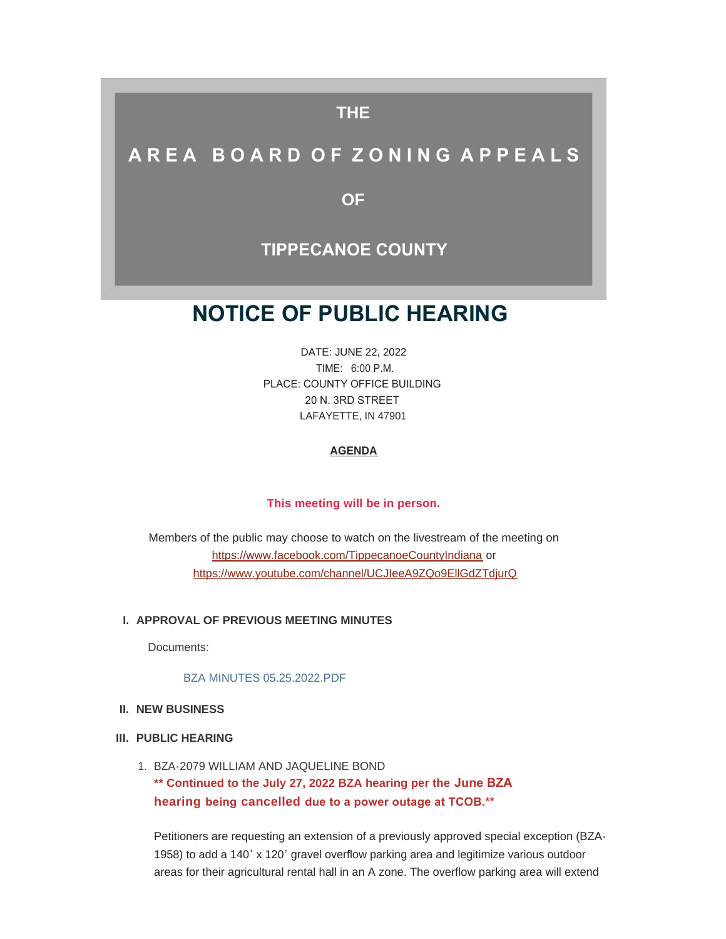# **THE**

# **A R E A B O A R D O F Z O N I N G A P P E A L S**

**OF**

# **TIPPECANOE COUNTY**

# **NOTICE OF PUBLIC HEARING**

DATE: JUNE 22, 2022 TIME: 6:00 P.M. PLACE: COUNTY OFFICE BUILDING 20 N. 3RD STREET LAFAYETTE, IN 47901

## **AGENDA**

## **This meeting will be in person.**

[Members of the public may choose to watch on the livestream of t](https://www.facebook.com/TippecanoeCountyIndiana)he meeting on https://www.facebook.com/TippecanoeCountyIndiana or [https://www.youtube.com/channel/UCJIeeA9ZQo9EllGdZTdjurQ](https://www.youtube.com/channel/UCJIeeA9ZQo9EllGdZTdjurQ?app=desktop)

#### **APPROVAL OF PREVIOUS MEETING MINUTES I.**

Documents:

[BZA MINUTES 05.25.2022.PDF](http://www.tippecanoe.in.gov/AgendaCenter/ViewFile/Item/12844?fileID=25699)

#### **NEW BUSINESS II.**

#### **PUBLIC HEARING III.**

1. BZA-2079 WILLIAM AND JAQUELINE BOND **\*\* Continued to the July 27, 2022 BZA hearing per the June BZA hearing being cancelled due to a power outage at TCOB.\*\***

Petitioners are requesting an extension of a previously approved special exception (BZA-1958) to add a 140' x 120' gravel overflow parking area and legitimize various outdoor areas for their agricultural rental hall in an A zone. The overflow parking area will extend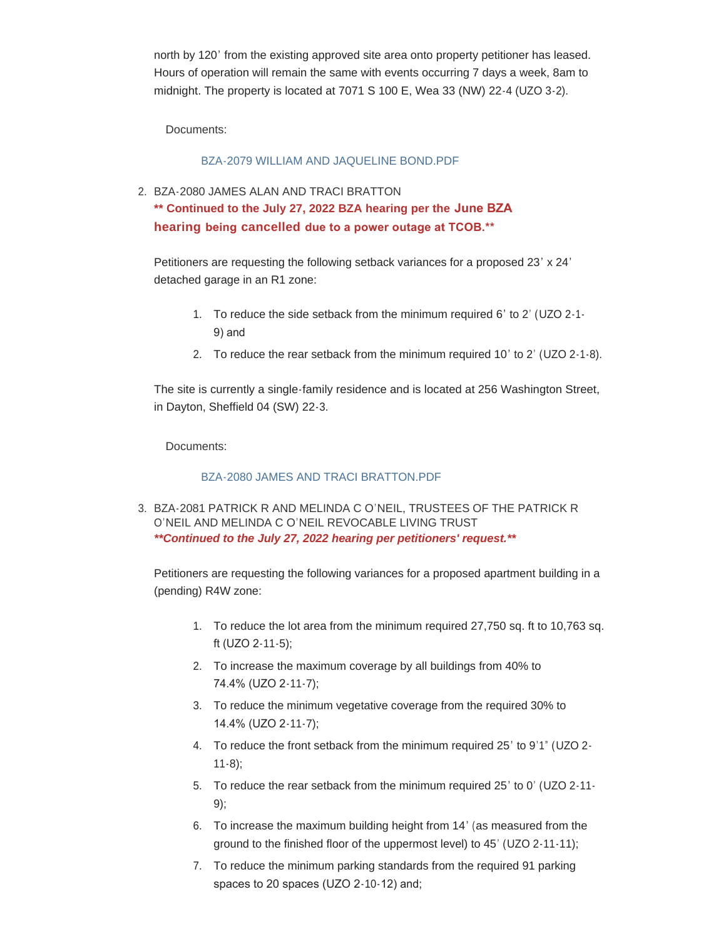north by 120' from the existing approved site area onto property petitioner has leased. Hours of operation will remain the same with events occurring 7 days a week, 8am to midnight. The property is located at 7071 S 100 E, Wea 33 (NW) 22-4 (UZO 3-2).

Documents:

# [BZA-2079 WILLIAM AND JAQUELINE BOND.PDF](http://www.tippecanoe.in.gov/AgendaCenter/ViewFile/Item/12850?fileID=25700)

2. BZA-2080 JAMES ALAN AND TRACI BRATTON

**\*\* Continued to the July 27, 2022 BZA hearing per the June BZA hearing being cancelled due to a power outage at TCOB.\*\***

Petitioners are requesting the following setback variances for a proposed 23' x 24' detached garage in an R1 zone:

- 1. To reduce the side setback from the minimum required 6' to 2' (UZO 2-1- 9) and
- 2. To reduce the rear setback from the minimum required 10' to 2' (UZO 2-1-8).

The site is currently a single-family residence and is located at 256 Washington Street, in Dayton, Sheffield 04 (SW) 22-3.

Documents:

# [BZA-2080 JAMES AND TRACI BRATTON.PDF](http://www.tippecanoe.in.gov/AgendaCenter/ViewFile/Item/12851?fileID=25701)

3. BZA-2081 PATRICK R AND MELINDA C O'NEIL, TRUSTEES OF THE PATRICK R O'NEIL AND MELINDA C O'NEIL REVOCABLE LIVING TRUST *\*\*Continued to the July 27, 2022 hearing per petitioners' request.\*\**

Petitioners are requesting the following variances for a proposed apartment building in a (pending) R4W zone:

- 1. To reduce the lot area from the minimum required 27,750 sq. ft to 10,763 sq. ft (UZO 2-11-5);
- 2. To increase the maximum coverage by all buildings from 40% to 74.4% (UZO 2-11-7);
- 3. To reduce the minimum vegetative coverage from the required 30% to 14.4% (UZO 2-11-7);
- 4. To reduce the front setback from the minimum required 25' to 9'1" (UZO 2- 11-8);
- 5. To reduce the rear setback from the minimum required 25' to 0' (UZO 2-11- 9);
- 6. To increase the maximum building height from 14' (as measured from the ground to the finished floor of the uppermost level) to 45' (UZO 2-11-11);
- 7. To reduce the minimum parking standards from the required 91 parking spaces to 20 spaces (UZO 2-10-12) and;